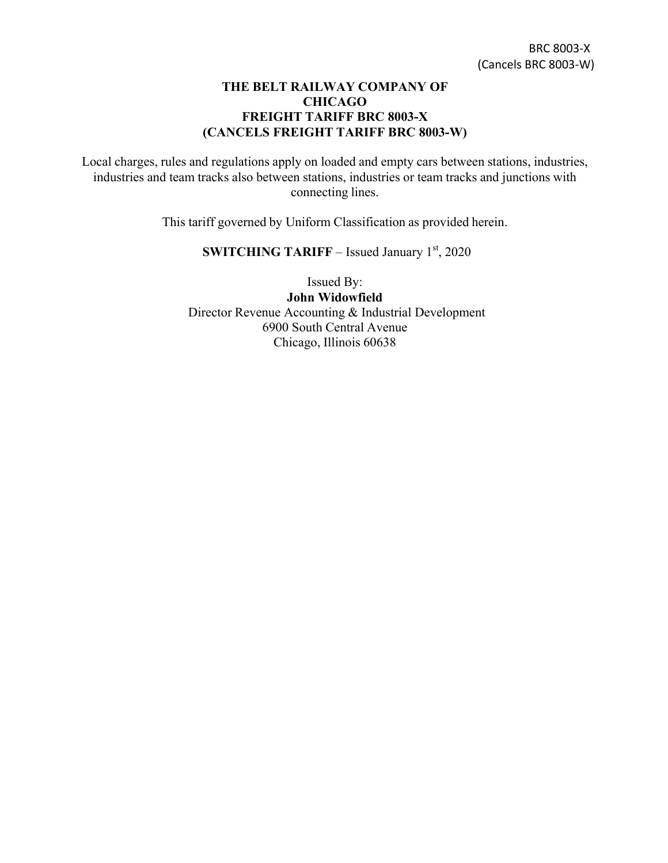## **THE BELT RAILWAY COMPANY OF CHICAGO FREIGHT TARIFF BRC 8003-X (CANCELS FREIGHT TARIFF BRC 8003-W)**

Local charges, rules and regulations apply on loaded and empty cars between stations, industries, industries and team tracks also between stations, industries or team tracks and junctions with connecting lines.

This tariff governed by Uniform Classification as provided herein.

**SWITCHING TARIFF** – Issued January 1st, 2020

Issued By: **John Widowfield** Director Revenue Accounting & Industrial Development 6900 South Central Avenue Chicago, Illinois 60638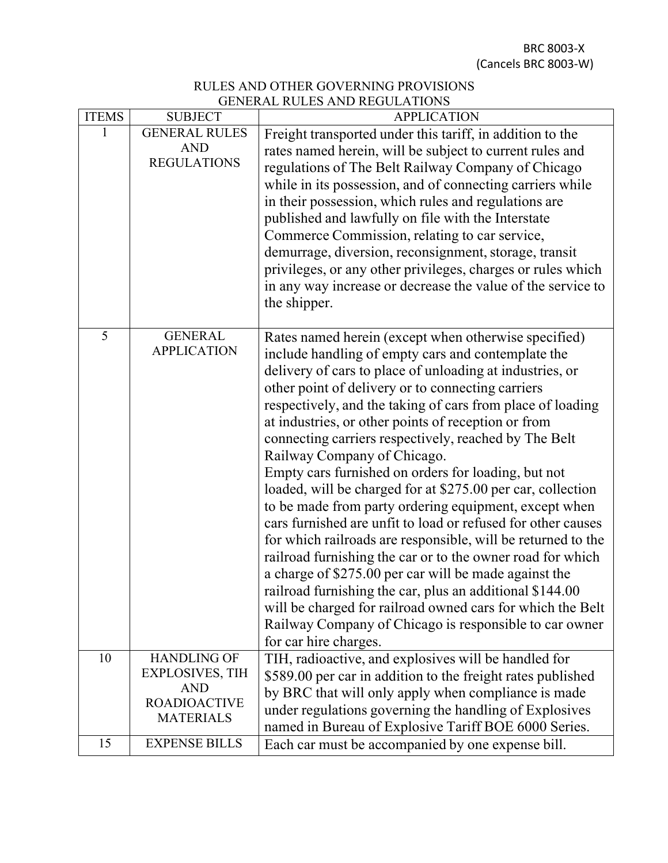BRC 8003-X (Cancels BRC 8003-W)

## RULES AND OTHER GOVERNING PROVISIONS GENERAL RULES AND REGULATIONS

| <b>ITEMS</b> | <b>SUBJECT</b>                                                                                        | <b>APPLICATION</b>                                                                                                                                                                                                                                                                                                                                                                                                                                                                                                                                                                                                                                                                                                                                                                                                                                                                                                                                                                                                                                                                          |
|--------------|-------------------------------------------------------------------------------------------------------|---------------------------------------------------------------------------------------------------------------------------------------------------------------------------------------------------------------------------------------------------------------------------------------------------------------------------------------------------------------------------------------------------------------------------------------------------------------------------------------------------------------------------------------------------------------------------------------------------------------------------------------------------------------------------------------------------------------------------------------------------------------------------------------------------------------------------------------------------------------------------------------------------------------------------------------------------------------------------------------------------------------------------------------------------------------------------------------------|
| 1            | <b>GENERAL RULES</b><br><b>AND</b><br><b>REGULATIONS</b>                                              | Freight transported under this tariff, in addition to the<br>rates named herein, will be subject to current rules and<br>regulations of The Belt Railway Company of Chicago<br>while in its possession, and of connecting carriers while<br>in their possession, which rules and regulations are<br>published and lawfully on file with the Interstate<br>Commerce Commission, relating to car service,<br>demurrage, diversion, reconsignment, storage, transit<br>privileges, or any other privileges, charges or rules which<br>in any way increase or decrease the value of the service to<br>the shipper.                                                                                                                                                                                                                                                                                                                                                                                                                                                                              |
| 5            | <b>GENERAL</b><br><b>APPLICATION</b>                                                                  | Rates named herein (except when otherwise specified)<br>include handling of empty cars and contemplate the<br>delivery of cars to place of unloading at industries, or<br>other point of delivery or to connecting carriers<br>respectively, and the taking of cars from place of loading<br>at industries, or other points of reception or from<br>connecting carriers respectively, reached by The Belt<br>Railway Company of Chicago.<br>Empty cars furnished on orders for loading, but not<br>loaded, will be charged for at \$275.00 per car, collection<br>to be made from party ordering equipment, except when<br>cars furnished are unfit to load or refused for other causes<br>for which railroads are responsible, will be returned to the<br>railroad furnishing the car or to the owner road for which<br>a charge of \$275.00 per car will be made against the<br>railroad furnishing the car, plus an additional \$144.00<br>will be charged for railroad owned cars for which the Belt<br>Railway Company of Chicago is responsible to car owner<br>for car hire charges. |
| 10           | <b>HANDLING OF</b><br><b>EXPLOSIVES, TIH</b><br><b>AND</b><br><b>ROADIOACTIVE</b><br><b>MATERIALS</b> | TIH, radioactive, and explosives will be handled for<br>\$589.00 per car in addition to the freight rates published<br>by BRC that will only apply when compliance is made<br>under regulations governing the handling of Explosives<br>named in Bureau of Explosive Tariff BOE 6000 Series.                                                                                                                                                                                                                                                                                                                                                                                                                                                                                                                                                                                                                                                                                                                                                                                                |
| 15           | <b>EXPENSE BILLS</b>                                                                                  | Each car must be accompanied by one expense bill.                                                                                                                                                                                                                                                                                                                                                                                                                                                                                                                                                                                                                                                                                                                                                                                                                                                                                                                                                                                                                                           |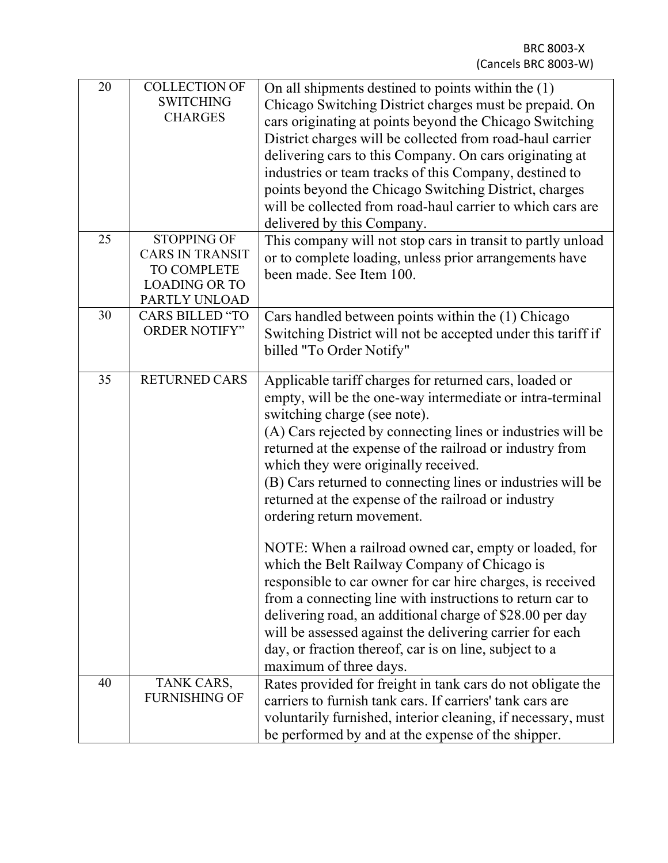| 20 | <b>COLLECTION OF</b><br><b>SWITCHING</b><br><b>CHARGES</b>                                           | On all shipments destined to points within the (1)<br>Chicago Switching District charges must be prepaid. On<br>cars originating at points beyond the Chicago Switching<br>District charges will be collected from road-haul carrier<br>delivering cars to this Company. On cars originating at<br>industries or team tracks of this Company, destined to<br>points beyond the Chicago Switching District, charges<br>will be collected from road-haul carrier to which cars are<br>delivered by this Company.                                                                                                                                                                                                                                                                                                                                                                                  |
|----|------------------------------------------------------------------------------------------------------|-------------------------------------------------------------------------------------------------------------------------------------------------------------------------------------------------------------------------------------------------------------------------------------------------------------------------------------------------------------------------------------------------------------------------------------------------------------------------------------------------------------------------------------------------------------------------------------------------------------------------------------------------------------------------------------------------------------------------------------------------------------------------------------------------------------------------------------------------------------------------------------------------|
| 25 | <b>STOPPING OF</b><br><b>CARS IN TRANSIT</b><br>TO COMPLETE<br><b>LOADING OR TO</b><br>PARTLY UNLOAD | This company will not stop cars in transit to partly unload<br>or to complete loading, unless prior arrangements have<br>been made. See Item 100.                                                                                                                                                                                                                                                                                                                                                                                                                                                                                                                                                                                                                                                                                                                                               |
| 30 | <b>CARS BILLED "TO</b><br><b>ORDER NOTIFY"</b>                                                       | Cars handled between points within the (1) Chicago<br>Switching District will not be accepted under this tariff if<br>billed "To Order Notify"                                                                                                                                                                                                                                                                                                                                                                                                                                                                                                                                                                                                                                                                                                                                                  |
| 35 | <b>RETURNED CARS</b>                                                                                 | Applicable tariff charges for returned cars, loaded or<br>empty, will be the one-way intermediate or intra-terminal<br>switching charge (see note).<br>(A) Cars rejected by connecting lines or industries will be<br>returned at the expense of the railroad or industry from<br>which they were originally received.<br>(B) Cars returned to connecting lines or industries will be<br>returned at the expense of the railroad or industry<br>ordering return movement.<br>NOTE: When a railroad owned car, empty or loaded, for<br>which the Belt Railway Company of Chicago is<br>responsible to car owner for car hire charges, is received<br>from a connecting line with instructions to return car to<br>delivering road, an additional charge of \$28.00 per day<br>will be assessed against the delivering carrier for each<br>day, or fraction thereof, car is on line, subject to a |
| 40 |                                                                                                      | maximum of three days.                                                                                                                                                                                                                                                                                                                                                                                                                                                                                                                                                                                                                                                                                                                                                                                                                                                                          |
|    | TANK CARS,<br><b>FURNISHING OF</b>                                                                   | Rates provided for freight in tank cars do not obligate the<br>carriers to furnish tank cars. If carriers' tank cars are<br>voluntarily furnished, interior cleaning, if necessary, must<br>be performed by and at the expense of the shipper.                                                                                                                                                                                                                                                                                                                                                                                                                                                                                                                                                                                                                                                  |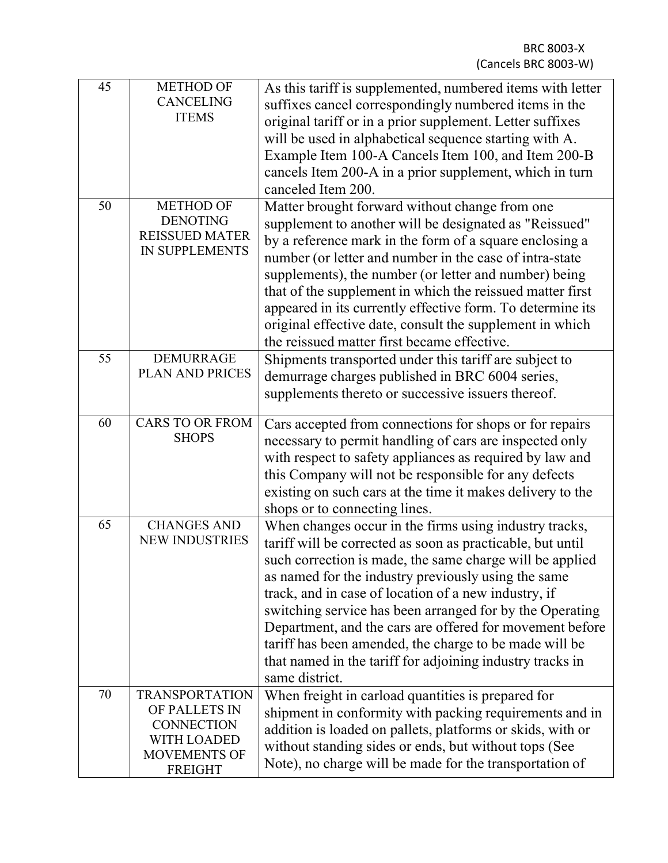| 45 | <b>METHOD OF</b><br><b>CANCELING</b><br><b>ITEMS</b>                                                                | As this tariff is supplemented, numbered items with letter<br>suffixes cancel correspondingly numbered items in the<br>original tariff or in a prior supplement. Letter suffixes<br>will be used in alphabetical sequence starting with A.<br>Example Item 100-A Cancels Item 100, and Item 200-B<br>cancels Item 200-A in a prior supplement, which in turn<br>canceled Item 200.                                                                                                                                                                               |
|----|---------------------------------------------------------------------------------------------------------------------|------------------------------------------------------------------------------------------------------------------------------------------------------------------------------------------------------------------------------------------------------------------------------------------------------------------------------------------------------------------------------------------------------------------------------------------------------------------------------------------------------------------------------------------------------------------|
| 50 | <b>METHOD OF</b><br><b>DENOTING</b><br><b>REISSUED MATER</b><br><b>IN SUPPLEMENTS</b>                               | Matter brought forward without change from one<br>supplement to another will be designated as "Reissued"<br>by a reference mark in the form of a square enclosing a<br>number (or letter and number in the case of intra-state<br>supplements), the number (or letter and number) being<br>that of the supplement in which the reissued matter first<br>appeared in its currently effective form. To determine its<br>original effective date, consult the supplement in which<br>the reissued matter first became effective.                                    |
| 55 | <b>DEMURRAGE</b><br>PLAN AND PRICES                                                                                 | Shipments transported under this tariff are subject to<br>demurrage charges published in BRC 6004 series,<br>supplements thereto or successive issuers thereof.                                                                                                                                                                                                                                                                                                                                                                                                  |
| 60 | <b>CARS TO OR FROM</b><br><b>SHOPS</b>                                                                              | Cars accepted from connections for shops or for repairs<br>necessary to permit handling of cars are inspected only<br>with respect to safety appliances as required by law and<br>this Company will not be responsible for any defects<br>existing on such cars at the time it makes delivery to the<br>shops or to connecting lines.                                                                                                                                                                                                                            |
| 65 | <b>CHANGES AND</b><br><b>NEW INDUSTRIES</b>                                                                         | When changes occur in the firms using industry tracks,<br>tariff will be corrected as soon as practicable, but until<br>such correction is made, the same charge will be applied<br>as named for the industry previously using the same<br>track, and in case of location of a new industry, if<br>switching service has been arranged for by the Operating<br>Department, and the cars are offered for movement before<br>tariff has been amended, the charge to be made will be<br>that named in the tariff for adjoining industry tracks in<br>same district. |
| 70 | <b>TRANSPORTATION</b><br>OF PALLETS IN<br><b>CONNECTION</b><br><b>WITH LOADED</b><br>MOVEMENTS OF<br><b>FREIGHT</b> | When freight in carload quantities is prepared for<br>shipment in conformity with packing requirements and in<br>addition is loaded on pallets, platforms or skids, with or<br>without standing sides or ends, but without tops (See<br>Note), no charge will be made for the transportation of                                                                                                                                                                                                                                                                  |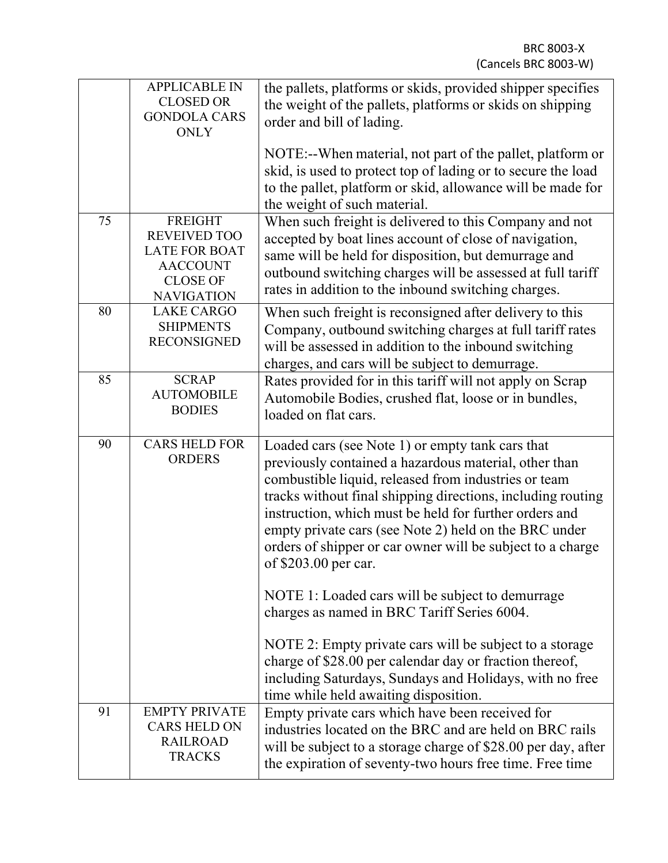|    | <b>APPLICABLE IN</b><br><b>CLOSED OR</b><br><b>GONDOLA CARS</b><br><b>ONLY</b>                                           | the pallets, platforms or skids, provided shipper specifies<br>the weight of the pallets, platforms or skids on shipping<br>order and bill of lading.                                                                                                                                                                                                                                                                                     |
|----|--------------------------------------------------------------------------------------------------------------------------|-------------------------------------------------------------------------------------------------------------------------------------------------------------------------------------------------------------------------------------------------------------------------------------------------------------------------------------------------------------------------------------------------------------------------------------------|
|    |                                                                                                                          | NOTE:--When material, not part of the pallet, platform or<br>skid, is used to protect top of lading or to secure the load<br>to the pallet, platform or skid, allowance will be made for<br>the weight of such material.                                                                                                                                                                                                                  |
| 75 | <b>FREIGHT</b><br><b>REVEIVED TOO</b><br><b>LATE FOR BOAT</b><br><b>AACCOUNT</b><br><b>CLOSE OF</b><br><b>NAVIGATION</b> | When such freight is delivered to this Company and not<br>accepted by boat lines account of close of navigation,<br>same will be held for disposition, but demurrage and<br>outbound switching charges will be assessed at full tariff<br>rates in addition to the inbound switching charges.                                                                                                                                             |
| 80 | <b>LAKE CARGO</b><br><b>SHIPMENTS</b><br><b>RECONSIGNED</b>                                                              | When such freight is reconsigned after delivery to this<br>Company, outbound switching charges at full tariff rates<br>will be assessed in addition to the inbound switching<br>charges, and cars will be subject to demurrage.                                                                                                                                                                                                           |
| 85 | <b>SCRAP</b><br><b>AUTOMOBILE</b><br><b>BODIES</b>                                                                       | Rates provided for in this tariff will not apply on Scrap<br>Automobile Bodies, crushed flat, loose or in bundles,<br>loaded on flat cars.                                                                                                                                                                                                                                                                                                |
| 90 | <b>CARS HELD FOR</b><br><b>ORDERS</b>                                                                                    | Loaded cars (see Note 1) or empty tank cars that<br>previously contained a hazardous material, other than<br>combustible liquid, released from industries or team<br>tracks without final shipping directions, including routing<br>instruction, which must be held for further orders and<br>empty private cars (see Note 2) held on the BRC under<br>orders of shipper or car owner will be subject to a charge<br>of \$203.00 per car. |
|    |                                                                                                                          | NOTE 1: Loaded cars will be subject to demurrage<br>charges as named in BRC Tariff Series 6004.                                                                                                                                                                                                                                                                                                                                           |
|    |                                                                                                                          | NOTE 2: Empty private cars will be subject to a storage<br>charge of \$28.00 per calendar day or fraction thereof,<br>including Saturdays, Sundays and Holidays, with no free<br>time while held awaiting disposition.                                                                                                                                                                                                                    |
| 91 | <b>EMPTY PRIVATE</b><br><b>CARS HELD ON</b><br><b>RAILROAD</b><br><b>TRACKS</b>                                          | Empty private cars which have been received for<br>industries located on the BRC and are held on BRC rails<br>will be subject to a storage charge of \$28.00 per day, after<br>the expiration of seventy-two hours free time. Free time                                                                                                                                                                                                   |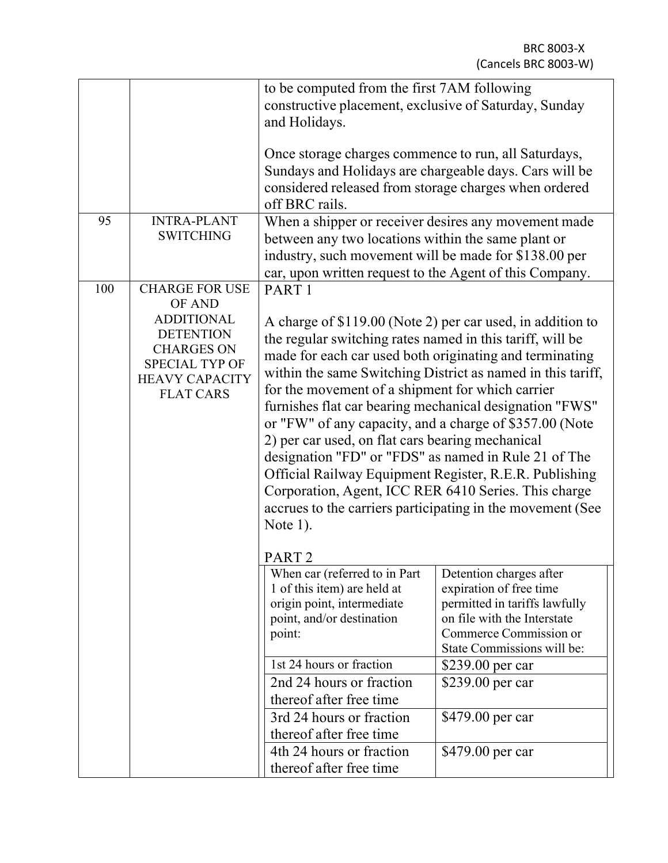| 95  | <b>INTRA-PLANT</b>                                                                                                                                                  | to be computed from the first 7AM following<br>constructive placement, exclusive of Saturday, Sunday<br>and Holidays.<br>Once storage charges commence to run, all Saturdays,<br>Sundays and Holidays are chargeable days. Cars will be<br>considered released from storage charges when ordered<br>off BRC rails.                                                                                                                                                                                                                                                                                                                                                                                                                                                               |                                                                                                                                                                                                                                                            |  |  |
|-----|---------------------------------------------------------------------------------------------------------------------------------------------------------------------|----------------------------------------------------------------------------------------------------------------------------------------------------------------------------------------------------------------------------------------------------------------------------------------------------------------------------------------------------------------------------------------------------------------------------------------------------------------------------------------------------------------------------------------------------------------------------------------------------------------------------------------------------------------------------------------------------------------------------------------------------------------------------------|------------------------------------------------------------------------------------------------------------------------------------------------------------------------------------------------------------------------------------------------------------|--|--|
|     | <b>SWITCHING</b>                                                                                                                                                    | When a shipper or receiver desires any movement made<br>between any two locations within the same plant or<br>industry, such movement will be made for \$138.00 per<br>car, upon written request to the Agent of this Company.                                                                                                                                                                                                                                                                                                                                                                                                                                                                                                                                                   |                                                                                                                                                                                                                                                            |  |  |
| 100 | <b>CHARGE FOR USE</b><br>OF AND<br><b>ADDITIONAL</b><br><b>DETENTION</b><br><b>CHARGES ON</b><br><b>SPECIAL TYP OF</b><br><b>HEAVY CAPACITY</b><br><b>FLAT CARS</b> | PART <sub>1</sub><br>A charge of \$119.00 (Note 2) per car used, in addition to<br>the regular switching rates named in this tariff, will be<br>made for each car used both originating and terminating<br>within the same Switching District as named in this tariff,<br>for the movement of a shipment for which carrier<br>furnishes flat car bearing mechanical designation "FWS"<br>or "FW" of any capacity, and a charge of \$357.00 (Note<br>2) per car used, on flat cars bearing mechanical<br>designation "FD" or "FDS" as named in Rule 21 of The<br>Official Railway Equipment Register, R.E.R. Publishing<br>Corporation, Agent, ICC RER 6410 Series. This charge<br>accrues to the carriers participating in the movement (See<br>Note $1$ ).<br>PART <sub>2</sub> |                                                                                                                                                                                                                                                            |  |  |
|     |                                                                                                                                                                     | When car (referred to in Part<br>1 of this item) are held at<br>origin point, intermediate<br>point, and/or destination<br>point:<br>1st 24 hours or fraction<br>2nd 24 hours or fraction<br>thereof after free time<br>3rd 24 hours or fraction<br>thereof after free time<br>4th 24 hours or fraction<br>thereof after free time                                                                                                                                                                                                                                                                                                                                                                                                                                               | Detention charges after<br>expiration of free time<br>permitted in tariffs lawfully<br>on file with the Interstate<br>Commerce Commission or<br>State Commissions will be:<br>\$239.00 per car<br>\$239.00 per car<br>\$479.00 per car<br>\$479.00 per car |  |  |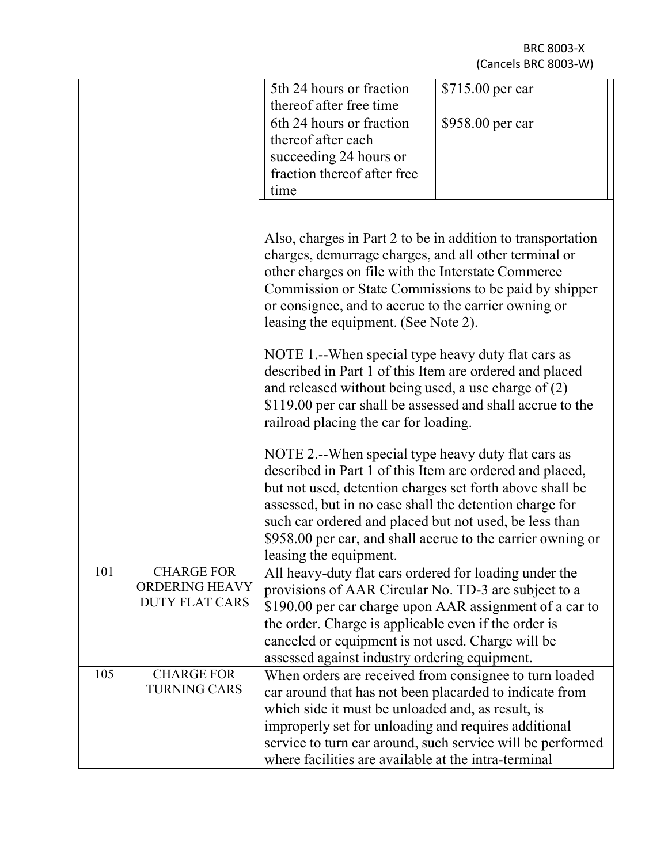|     |                                            | 5th 24 hours or fraction<br>thereof after free time<br>6th 24 hours or fraction                                 | \$715.00 per car<br>\$958.00 per car |  |  |
|-----|--------------------------------------------|-----------------------------------------------------------------------------------------------------------------|--------------------------------------|--|--|
|     |                                            | thereof after each                                                                                              |                                      |  |  |
|     |                                            | succeeding 24 hours or                                                                                          |                                      |  |  |
|     |                                            | fraction thereof after free                                                                                     |                                      |  |  |
|     |                                            | time                                                                                                            |                                      |  |  |
|     |                                            |                                                                                                                 |                                      |  |  |
|     |                                            | Also, charges in Part 2 to be in addition to transportation                                                     |                                      |  |  |
|     |                                            | charges, demurrage charges, and all other terminal or<br>other charges on file with the Interstate Commerce     |                                      |  |  |
|     |                                            | Commission or State Commissions to be paid by shipper                                                           |                                      |  |  |
|     |                                            | or consignee, and to accrue to the carrier owning or                                                            |                                      |  |  |
|     |                                            | leasing the equipment. (See Note 2).                                                                            |                                      |  |  |
|     |                                            | NOTE 1.--When special type heavy duty flat cars as                                                              |                                      |  |  |
|     |                                            | described in Part 1 of this Item are ordered and placed                                                         |                                      |  |  |
|     |                                            | and released without being used, a use charge of $(2)$                                                          |                                      |  |  |
|     |                                            | \$119.00 per car shall be assessed and shall accrue to the                                                      |                                      |  |  |
|     |                                            | railroad placing the car for loading.                                                                           |                                      |  |  |
|     |                                            | NOTE 2.--When special type heavy duty flat cars as<br>described in Part 1 of this Item are ordered and placed,  |                                      |  |  |
|     |                                            | but not used, detention charges set forth above shall be                                                        |                                      |  |  |
|     |                                            | assessed, but in no case shall the detention charge for                                                         |                                      |  |  |
|     |                                            | such car ordered and placed but not used, be less than                                                          |                                      |  |  |
|     |                                            | \$958.00 per car, and shall accrue to the carrier owning or                                                     |                                      |  |  |
|     |                                            | leasing the equipment.                                                                                          |                                      |  |  |
| 101 | <b>CHARGE FOR</b><br><b>ORDERING HEAVY</b> | All heavy-duty flat cars ordered for loading under the                                                          |                                      |  |  |
|     | <b>DUTY FLAT CARS</b>                      | provisions of AAR Circular No. TD-3 are subject to a<br>\$190.00 per car charge upon AAR assignment of a car to |                                      |  |  |
|     |                                            | the order. Charge is applicable even if the order is                                                            |                                      |  |  |
|     |                                            | canceled or equipment is not used. Charge will be                                                               |                                      |  |  |
|     |                                            | assessed against industry ordering equipment.                                                                   |                                      |  |  |
| 105 | <b>CHARGE FOR</b>                          | When orders are received from consignee to turn loaded                                                          |                                      |  |  |
|     | <b>TURNING CARS</b>                        | car around that has not been placarded to indicate from                                                         |                                      |  |  |
|     |                                            | which side it must be unloaded and, as result, is                                                               |                                      |  |  |
|     |                                            | improperly set for unloading and requires additional                                                            |                                      |  |  |
|     |                                            | service to turn car around, such service will be performed                                                      |                                      |  |  |
|     |                                            | where facilities are available at the intra-terminal                                                            |                                      |  |  |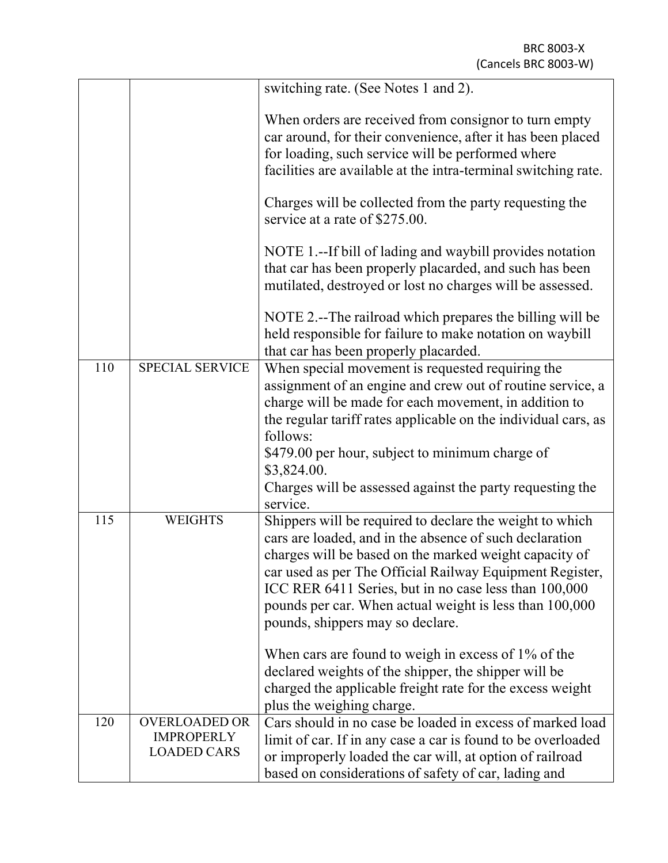| for loading, such service will be performed where<br>service at a rate of \$275.00.<br>that car has been properly placarded.<br><b>SPECIAL SERVICE</b><br>110<br>When special movement is requested requiring the<br>follows:<br>\$479.00 per hour, subject to minimum charge of<br>\$3,824.00.<br>service.<br>115<br><b>WEIGHTS</b><br>pounds, shippers may so declare.<br>When cars are found to weigh in excess of $1\%$ of the |  |                                                                                                                                                                                                                                                                                                                                                               |
|------------------------------------------------------------------------------------------------------------------------------------------------------------------------------------------------------------------------------------------------------------------------------------------------------------------------------------------------------------------------------------------------------------------------------------|--|---------------------------------------------------------------------------------------------------------------------------------------------------------------------------------------------------------------------------------------------------------------------------------------------------------------------------------------------------------------|
|                                                                                                                                                                                                                                                                                                                                                                                                                                    |  | switching rate. (See Notes 1 and 2).                                                                                                                                                                                                                                                                                                                          |
|                                                                                                                                                                                                                                                                                                                                                                                                                                    |  | When orders are received from consignor to turn empty<br>car around, for their convenience, after it has been placed<br>facilities are available at the intra-terminal switching rate.                                                                                                                                                                        |
|                                                                                                                                                                                                                                                                                                                                                                                                                                    |  | Charges will be collected from the party requesting the                                                                                                                                                                                                                                                                                                       |
|                                                                                                                                                                                                                                                                                                                                                                                                                                    |  | NOTE 1.--If bill of lading and waybill provides notation<br>that car has been properly placarded, and such has been<br>mutilated, destroyed or lost no charges will be assessed.                                                                                                                                                                              |
|                                                                                                                                                                                                                                                                                                                                                                                                                                    |  | NOTE 2.--The railroad which prepares the billing will be<br>held responsible for failure to make notation on waybill                                                                                                                                                                                                                                          |
|                                                                                                                                                                                                                                                                                                                                                                                                                                    |  | assignment of an engine and crew out of routine service, a<br>charge will be made for each movement, in addition to<br>the regular tariff rates applicable on the individual cars, as                                                                                                                                                                         |
|                                                                                                                                                                                                                                                                                                                                                                                                                                    |  | Charges will be assessed against the party requesting the                                                                                                                                                                                                                                                                                                     |
|                                                                                                                                                                                                                                                                                                                                                                                                                                    |  | Shippers will be required to declare the weight to which<br>cars are loaded, and in the absence of such declaration<br>charges will be based on the marked weight capacity of<br>car used as per The Official Railway Equipment Register,<br>ICC RER 6411 Series, but in no case less than 100,000<br>pounds per car. When actual weight is less than 100,000 |
| plus the weighing charge.                                                                                                                                                                                                                                                                                                                                                                                                          |  | declared weights of the shipper, the shipper will be<br>charged the applicable freight rate for the excess weight                                                                                                                                                                                                                                             |
| <b>OVERLOADED OR</b><br>120<br><b>IMPROPERLY</b><br><b>LOADED CARS</b><br>based on considerations of safety of car, lading and                                                                                                                                                                                                                                                                                                     |  | Cars should in no case be loaded in excess of marked load<br>limit of car. If in any case a car is found to be overloaded<br>or improperly loaded the car will, at option of railroad                                                                                                                                                                         |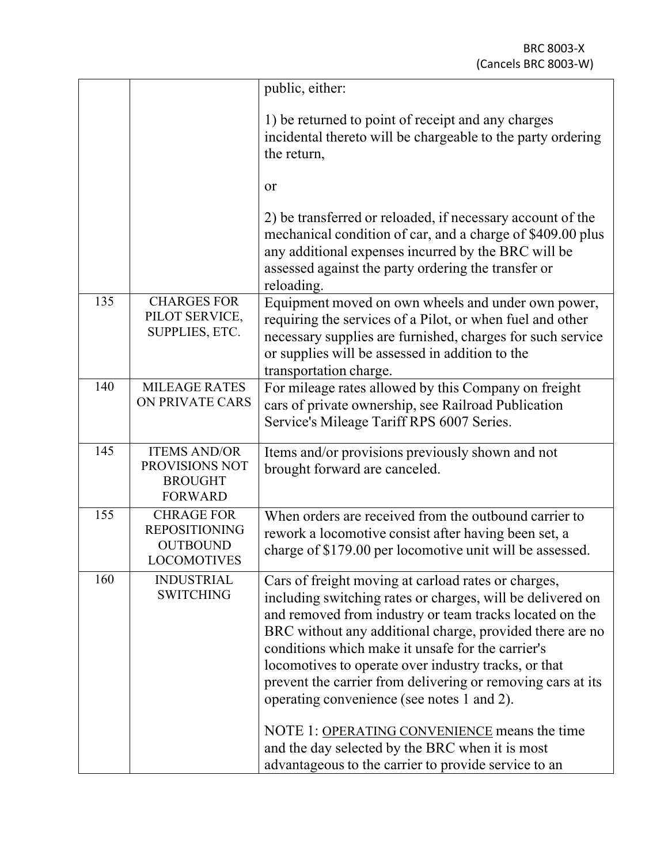|     |                                                                             | public, either:                                                                                                                                                                                                                                                                                                                                                                                                                                                                                                                                                                                                               |
|-----|-----------------------------------------------------------------------------|-------------------------------------------------------------------------------------------------------------------------------------------------------------------------------------------------------------------------------------------------------------------------------------------------------------------------------------------------------------------------------------------------------------------------------------------------------------------------------------------------------------------------------------------------------------------------------------------------------------------------------|
|     |                                                                             | 1) be returned to point of receipt and any charges<br>incidental thereto will be chargeable to the party ordering<br>the return,                                                                                                                                                                                                                                                                                                                                                                                                                                                                                              |
|     |                                                                             | or                                                                                                                                                                                                                                                                                                                                                                                                                                                                                                                                                                                                                            |
|     |                                                                             | 2) be transferred or reloaded, if necessary account of the<br>mechanical condition of car, and a charge of \$409.00 plus<br>any additional expenses incurred by the BRC will be<br>assessed against the party ordering the transfer or<br>reloading.                                                                                                                                                                                                                                                                                                                                                                          |
| 135 | <b>CHARGES FOR</b><br>PILOT SERVICE,<br>SUPPLIES, ETC.                      | Equipment moved on own wheels and under own power,<br>requiring the services of a Pilot, or when fuel and other<br>necessary supplies are furnished, charges for such service<br>or supplies will be assessed in addition to the<br>transportation charge.                                                                                                                                                                                                                                                                                                                                                                    |
| 140 | <b>MILEAGE RATES</b><br>ON PRIVATE CARS                                     | For mileage rates allowed by this Company on freight<br>cars of private ownership, see Railroad Publication<br>Service's Mileage Tariff RPS 6007 Series.                                                                                                                                                                                                                                                                                                                                                                                                                                                                      |
| 145 | <b>ITEMS AND/OR</b><br>PROVISIONS NOT<br><b>BROUGHT</b><br><b>FORWARD</b>   | Items and/or provisions previously shown and not<br>brought forward are canceled.                                                                                                                                                                                                                                                                                                                                                                                                                                                                                                                                             |
| 155 | <b>CHRAGE FOR</b><br><b>REPOSITIONING</b><br><b>OUTBOUND</b><br>LOCOMOTIVES | When orders are received from the outbound carrier to<br>rework a locomotive consist after having been set, a<br>charge of \$179.00 per locomotive unit will be assessed.                                                                                                                                                                                                                                                                                                                                                                                                                                                     |
| 160 | <b>INDUSTRIAL</b><br><b>SWITCHING</b>                                       | Cars of freight moving at carload rates or charges,<br>including switching rates or charges, will be delivered on<br>and removed from industry or team tracks located on the<br>BRC without any additional charge, provided there are no<br>conditions which make it unsafe for the carrier's<br>locomotives to operate over industry tracks, or that<br>prevent the carrier from delivering or removing cars at its<br>operating convenience (see notes 1 and 2).<br>NOTE 1: OPERATING CONVENIENCE means the time<br>and the day selected by the BRC when it is most<br>advantageous to the carrier to provide service to an |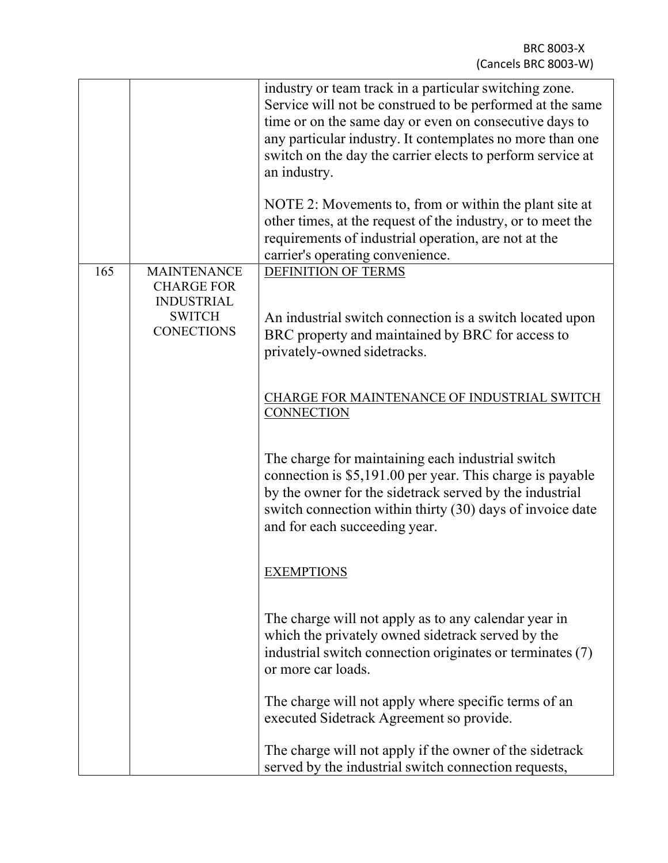|     |                                                                                                    | industry or team track in a particular switching zone.<br>Service will not be construed to be performed at the same<br>time or on the same day or even on consecutive days to<br>any particular industry. It contemplates no more than one<br>switch on the day the carrier elects to perform service at<br>an industry.<br>NOTE 2: Movements to, from or within the plant site at<br>other times, at the request of the industry, or to meet the<br>requirements of industrial operation, are not at the<br>carrier's operating convenience. |
|-----|----------------------------------------------------------------------------------------------------|-----------------------------------------------------------------------------------------------------------------------------------------------------------------------------------------------------------------------------------------------------------------------------------------------------------------------------------------------------------------------------------------------------------------------------------------------------------------------------------------------------------------------------------------------|
| 165 | <b>MAINTENANCE</b><br><b>CHARGE FOR</b><br><b>INDUSTRIAL</b><br><b>SWITCH</b><br><b>CONECTIONS</b> | <b>DEFINITION OF TERMS</b><br>An industrial switch connection is a switch located upon<br>BRC property and maintained by BRC for access to<br>privately-owned sidetracks.                                                                                                                                                                                                                                                                                                                                                                     |
|     |                                                                                                    | <b>CHARGE FOR MAINTENANCE OF INDUSTRIAL SWITCH</b><br><b>CONNECTION</b>                                                                                                                                                                                                                                                                                                                                                                                                                                                                       |
|     |                                                                                                    | The charge for maintaining each industrial switch<br>connection is \$5,191.00 per year. This charge is payable<br>by the owner for the sidetrack served by the industrial<br>switch connection within thirty (30) days of invoice date<br>and for each succeeding year.                                                                                                                                                                                                                                                                       |
|     |                                                                                                    | <b>EXEMPTIONS</b>                                                                                                                                                                                                                                                                                                                                                                                                                                                                                                                             |
|     |                                                                                                    | The charge will not apply as to any calendar year in<br>which the privately owned sidetrack served by the<br>industrial switch connection originates or terminates (7)<br>or more car loads.                                                                                                                                                                                                                                                                                                                                                  |
|     |                                                                                                    | The charge will not apply where specific terms of an<br>executed Sidetrack Agreement so provide.                                                                                                                                                                                                                                                                                                                                                                                                                                              |
|     |                                                                                                    | The charge will not apply if the owner of the sidetrack<br>served by the industrial switch connection requests,                                                                                                                                                                                                                                                                                                                                                                                                                               |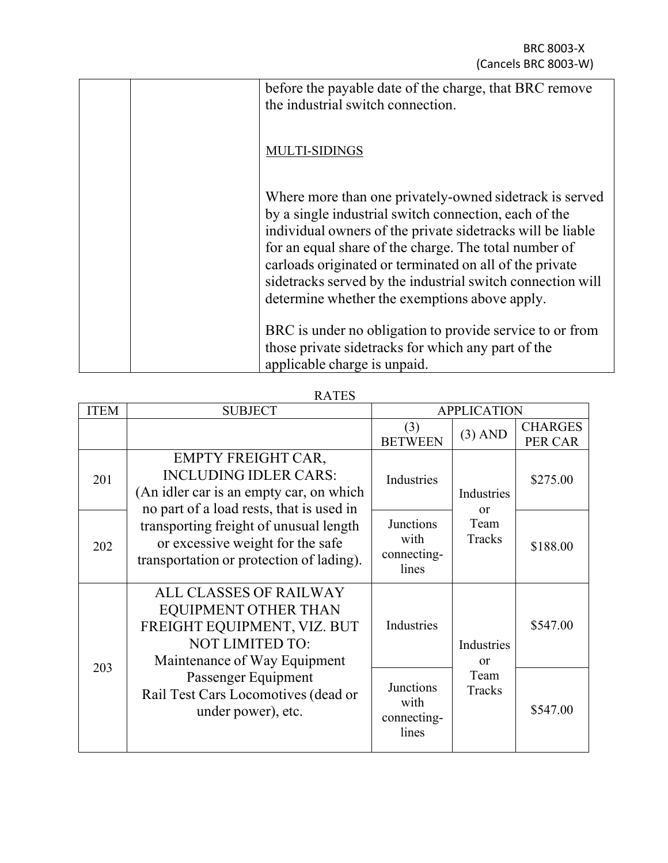| before the payable date of the charge, that BRC remove<br>the industrial switch connection.                                                                                                                                                                                                                                                                                                                        |
|--------------------------------------------------------------------------------------------------------------------------------------------------------------------------------------------------------------------------------------------------------------------------------------------------------------------------------------------------------------------------------------------------------------------|
| MULTI-SIDINGS                                                                                                                                                                                                                                                                                                                                                                                                      |
| Where more than one privately-owned sidetrack is served<br>by a single industrial switch connection, each of the<br>individual owners of the private side tracks will be liable<br>for an equal share of the charge. The total number of<br>carloads originated or terminated on all of the private<br>sidetracks served by the industrial switch connection will<br>determine whether the exemptions above apply. |
| BRC is under no obligation to provide service to or from<br>those private side tracks for which any part of the<br>applicable charge is unpaid.                                                                                                                                                                                                                                                                    |

RATES

| <b>ITEM</b> | <b>SUBJECT</b>                                                                                                                                   | <b>APPLICATION</b>                               |                        |                                  |
|-------------|--------------------------------------------------------------------------------------------------------------------------------------------------|--------------------------------------------------|------------------------|----------------------------------|
|             |                                                                                                                                                  | (3)<br><b>BETWEEN</b>                            | $(3)$ AND              | <b>CHARGES</b><br><b>PER CAR</b> |
| 201         | <b>EMPTY FREIGHT CAR,</b><br><b>INCLUDING IDLER CARS:</b><br>(An idler car is an empty car, on which<br>no part of a load rests, that is used in | Industries                                       | Industries<br>$\alpha$ | \$275.00                         |
| 202         | transporting freight of unusual length<br>or excessive weight for the safe<br>transportation or protection of lading).                           | Junctions<br>with<br>connecting-<br>lines        | Team<br>Tracks         | \$188.00                         |
|             | <b>ALL CLASSES OF RAILWAY</b><br>EQUIPMENT OTHER THAN<br>FREIGHT EQUIPMENT, VIZ. BUT<br><b>NOT LIMITED TO:</b><br>Maintenance of Way Equipment   | Industries                                       | Industries<br>$\alpha$ | \$547.00                         |
| 203         | Passenger Equipment<br>Rail Test Cars Locomotives (dead or<br>under power), etc.                                                                 | <b>Junctions</b><br>with<br>connecting-<br>lines | Team<br>Tracks         | \$547.00                         |